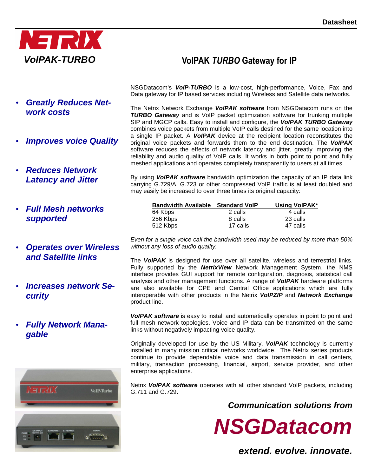

- **Greatly Reduces Network costs**
- **Improves voice Quality**
- **Reduces Network Latency and Jitter**
- **Full Mesh networks supported**
- **Operates over Wireless and Satellite links**
- **Increases network Security**
- **Fully Network Managable**



NSGDatacom's **VoIP-TURBO** is a low-cost, high-performance, Voice, Fax and

Data gateway for IP based services including Wireless and Satellite data networks.

**VoIPAK** *TURBO* **Gateway for IP** 

The Netrix Network Exchange **VoIPAK software** from NSGDatacom runs on the **TURBO Gateway** and is VoIP packet optimization software for trunking multiple SIP and MGCP calls. Easy to install and configure, the **VoIPAK TURBO Gateway**  combines voice packets from multiple VoIP calls destined for the same location into a single IP packet. A **VoIPAK** device at the recipient location reconstitutes the original voice packets and forwards them to the end destination. The **VoIPAK**  software reduces the effects of network latency and jitter, greatly improving the reliability and audio quality of VoIP calls. It works in both point to point and fully meshed applications and operates completely transparently to users at all times.

By using **VoIPAK software** bandwidth optimization the capacity of an IP data link carrying G.729/A, G.723 or other compressed VoIP traffic is at least doubled and may easily be increased to over three times its original capacity:

| Bandwidth Available Standard VolP |          | Using VolPAK* |
|-----------------------------------|----------|---------------|
| 64 Kbps                           | 2 calls  | 4 calls       |
| 256 Kbps                          | 8 calls  | 23 calls      |
| 512 Kbps                          | 17 calls | 47 calls      |

Even for a single voice call the bandwidth used may be reduced by more than 50% without any loss of audio quality.

The **VoIPAK** is designed for use over all satellite, wireless and terrestrial links. Fully supported by the **NetrixView** Network Management System, the NMS interface provides GUI support for remote configuration, diagnosis, statistical call analysis and other management functions. A range of **VoIPAK** hardware platforms are also available for CPE and Central Office applications which are fully interoperable with other products in the Netrix **VoIPZIP** and **Network Exchange**  product line.

**VoIPAK software** is easy to install and automatically operates in point to point and full mesh network topologies. Voice and IP data can be transmitted on the same links without negatively impacting voice quality.

Originally developed for use by the US Military, **VoIPAK** technology is currently installed in many mission critical networks worldwide. The Netrix series products continue to provide dependable voice and data transmission in call centers, military, transaction processing, financial, airport, service provider, and other enterprise applications.

Netrix **VoIPAK software** operates with all other standard VoIP packets, including G.711 and G.729.

**Communication solutions from** 

**NSGDatacom**

**extend. evolve. innovate.**